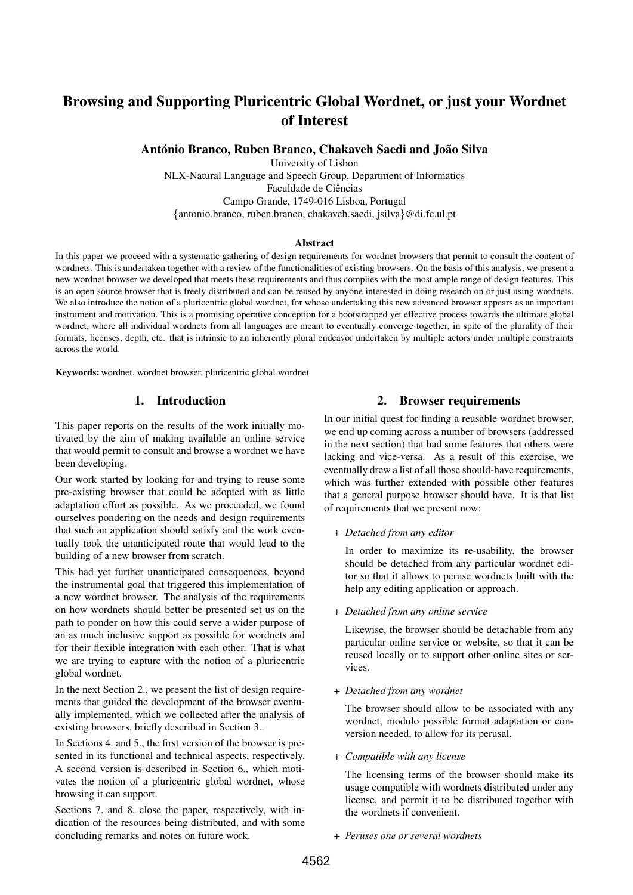# Browsing and Supporting Pluricentric Global Wordnet, or just your Wordnet of Interest

António Branco, Ruben Branco, Chakaveh Saedi and João Silva

University of Lisbon NLX-Natural Language and Speech Group, Department of Informatics Faculdade de Ciências Campo Grande, 1749-016 Lisboa, Portugal {antonio.branco, ruben.branco, chakaveh.saedi, jsilva}@di.fc.ul.pt

#### Abstract

In this paper we proceed with a systematic gathering of design requirements for wordnet browsers that permit to consult the content of wordnets. This is undertaken together with a review of the functionalities of existing browsers. On the basis of this analysis, we present a new wordnet browser we developed that meets these requirements and thus complies with the most ample range of design features. This is an open source browser that is freely distributed and can be reused by anyone interested in doing research on or just using wordnets. We also introduce the notion of a pluricentric global wordnet, for whose undertaking this new advanced browser appears as an important instrument and motivation. This is a promising operative conception for a bootstrapped yet effective process towards the ultimate global wordnet, where all individual wordnets from all languages are meant to eventually converge together, in spite of the plurality of their formats, licenses, depth, etc. that is intrinsic to an inherently plural endeavor undertaken by multiple actors under multiple constraints across the world.

Keywords: wordnet, wordnet browser, pluricentric global wordnet

## 1. Introduction

This paper reports on the results of the work initially motivated by the aim of making available an online service that would permit to consult and browse a wordnet we have been developing.

Our work started by looking for and trying to reuse some pre-existing browser that could be adopted with as little adaptation effort as possible. As we proceeded, we found ourselves pondering on the needs and design requirements that such an application should satisfy and the work eventually took the unanticipated route that would lead to the building of a new browser from scratch.

This had yet further unanticipated consequences, beyond the instrumental goal that triggered this implementation of a new wordnet browser. The analysis of the requirements on how wordnets should better be presented set us on the path to ponder on how this could serve a wider purpose of an as much inclusive support as possible for wordnets and for their flexible integration with each other. That is what we are trying to capture with the notion of a pluricentric global wordnet.

In the next Section 2., we present the list of design requirements that guided the development of the browser eventually implemented, which we collected after the analysis of existing browsers, briefly described in Section 3..

In Sections 4. and 5., the first version of the browser is presented in its functional and technical aspects, respectively. A second version is described in Section 6., which motivates the notion of a pluricentric global wordnet, whose browsing it can support.

Sections 7. and 8. close the paper, respectively, with indication of the resources being distributed, and with some concluding remarks and notes on future work.

#### 2. Browser requirements

In our initial quest for finding a reusable wordnet browser, we end up coming across a number of browsers (addressed in the next section) that had some features that others were lacking and vice-versa. As a result of this exercise, we eventually drew a list of all those should-have requirements, which was further extended with possible other features that a general purpose browser should have. It is that list of requirements that we present now:

+ *Detached from any editor*

In order to maximize its re-usability, the browser should be detached from any particular wordnet editor so that it allows to peruse wordnets built with the help any editing application or approach.

+ *Detached from any online service*

Likewise, the browser should be detachable from any particular online service or website, so that it can be reused locally or to support other online sites or services.

+ *Detached from any wordnet*

The browser should allow to be associated with any wordnet, modulo possible format adaptation or conversion needed, to allow for its perusal.

+ *Compatible with any license*

The licensing terms of the browser should make its usage compatible with wordnets distributed under any license, and permit it to be distributed together with the wordnets if convenient.

+ *Peruses one or several wordnets*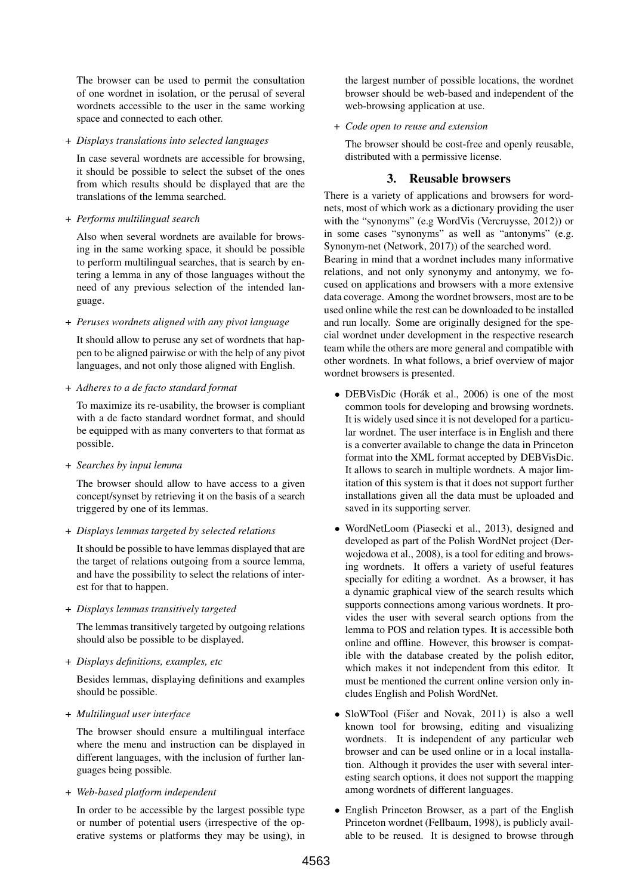The browser can be used to permit the consultation of one wordnet in isolation, or the perusal of several wordnets accessible to the user in the same working space and connected to each other.

+ *Displays translations into selected languages*

In case several wordnets are accessible for browsing, it should be possible to select the subset of the ones from which results should be displayed that are the translations of the lemma searched.

+ *Performs multilingual search*

Also when several wordnets are available for browsing in the same working space, it should be possible to perform multilingual searches, that is search by entering a lemma in any of those languages without the need of any previous selection of the intended language.

+ *Peruses wordnets aligned with any pivot language*

It should allow to peruse any set of wordnets that happen to be aligned pairwise or with the help of any pivot languages, and not only those aligned with English.

+ *Adheres to a de facto standard format*

To maximize its re-usability, the browser is compliant with a de facto standard wordnet format, and should be equipped with as many converters to that format as possible.

+ *Searches by input lemma*

The browser should allow to have access to a given concept/synset by retrieving it on the basis of a search triggered by one of its lemmas.

+ *Displays lemmas targeted by selected relations*

It should be possible to have lemmas displayed that are the target of relations outgoing from a source lemma, and have the possibility to select the relations of interest for that to happen.

+ *Displays lemmas transitively targeted*

The lemmas transitively targeted by outgoing relations should also be possible to be displayed.

+ *Displays definitions, examples, etc*

Besides lemmas, displaying definitions and examples should be possible.

+ *Multilingual user interface*

The browser should ensure a multilingual interface where the menu and instruction can be displayed in different languages, with the inclusion of further languages being possible.

+ *Web-based platform independent*

In order to be accessible by the largest possible type or number of potential users (irrespective of the operative systems or platforms they may be using), in the largest number of possible locations, the wordnet browser should be web-based and independent of the web-browsing application at use.

+ *Code open to reuse and extension*

The browser should be cost-free and openly reusable, distributed with a permissive license.

### 3. Reusable browsers

There is a variety of applications and browsers for wordnets, most of which work as a dictionary providing the user with the "synonyms" (e.g WordVis (Vercruysse, 2012)) or in some cases "synonyms" as well as "antonyms" (e.g. Synonym-net (Network, 2017)) of the searched word. Bearing in mind that a wordnet includes many informative relations, and not only synonymy and antonymy, we focused on applications and browsers with a more extensive data coverage. Among the wordnet browsers, most are to be used online while the rest can be downloaded to be installed and run locally. Some are originally designed for the special wordnet under development in the respective research team while the others are more general and compatible with other wordnets. In what follows, a brief overview of major wordnet browsers is presented.

- DEBVisDic (Horák et al., 2006) is one of the most common tools for developing and browsing wordnets. It is widely used since it is not developed for a particular wordnet. The user interface is in English and there is a converter available to change the data in Princeton format into the XML format accepted by DEBVisDic. It allows to search in multiple wordnets. A major limitation of this system is that it does not support further installations given all the data must be uploaded and saved in its supporting server.
- WordNetLoom (Piasecki et al., 2013), designed and developed as part of the Polish WordNet project (Derwojedowa et al., 2008), is a tool for editing and browsing wordnets. It offers a variety of useful features specially for editing a wordnet. As a browser, it has a dynamic graphical view of the search results which supports connections among various wordnets. It provides the user with several search options from the lemma to POS and relation types. It is accessible both online and offline. However, this browser is compatible with the database created by the polish editor, which makes it not independent from this editor. It must be mentioned the current online version only includes English and Polish WordNet.
- SloWTool (Fišer and Novak, 2011) is also a well known tool for browsing, editing and visualizing wordnets. It is independent of any particular web browser and can be used online or in a local installation. Although it provides the user with several interesting search options, it does not support the mapping among wordnets of different languages.
- English Princeton Browser, as a part of the English Princeton wordnet (Fellbaum, 1998), is publicly available to be reused. It is designed to browse through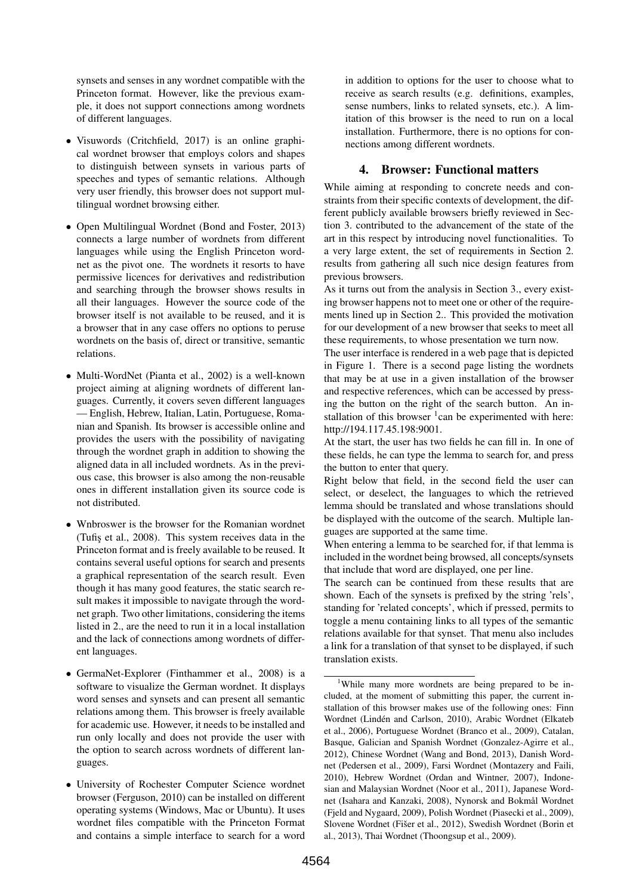synsets and senses in any wordnet compatible with the Princeton format. However, like the previous example, it does not support connections among wordnets of different languages.

- Visuwords (Critchfield, 2017) is an online graphical wordnet browser that employs colors and shapes to distinguish between synsets in various parts of speeches and types of semantic relations. Although very user friendly, this browser does not support multilingual wordnet browsing either.
- Open Multilingual Wordnet (Bond and Foster, 2013) connects a large number of wordnets from different languages while using the English Princeton wordnet as the pivot one. The wordnets it resorts to have permissive licences for derivatives and redistribution and searching through the browser shows results in all their languages. However the source code of the browser itself is not available to be reused, and it is a browser that in any case offers no options to peruse wordnets on the basis of, direct or transitive, semantic relations.
- Multi-WordNet (Pianta et al., 2002) is a well-known project aiming at aligning wordnets of different languages. Currently, it covers seven different languages — English, Hebrew, Italian, Latin, Portuguese, Romanian and Spanish. Its browser is accessible online and provides the users with the possibility of navigating through the wordnet graph in addition to showing the aligned data in all included wordnets. As in the previous case, this browser is also among the non-reusable ones in different installation given its source code is not distributed.
- Wnbroswer is the browser for the Romanian wordnet (Tufis¸ et al., 2008). This system receives data in the Princeton format and is freely available to be reused. It contains several useful options for search and presents a graphical representation of the search result. Even though it has many good features, the static search result makes it impossible to navigate through the wordnet graph. Two other limitations, considering the items listed in 2., are the need to run it in a local installation and the lack of connections among wordnets of different languages.
- GermaNet-Explorer (Finthammer et al., 2008) is a software to visualize the German wordnet. It displays word senses and synsets and can present all semantic relations among them. This browser is freely available for academic use. However, it needs to be installed and run only locally and does not provide the user with the option to search across wordnets of different languages.
- University of Rochester Computer Science wordnet browser (Ferguson, 2010) can be installed on different operating systems (Windows, Mac or Ubuntu). It uses wordnet files compatible with the Princeton Format and contains a simple interface to search for a word

in addition to options for the user to choose what to receive as search results (e.g. definitions, examples, sense numbers, links to related synsets, etc.). A limitation of this browser is the need to run on a local installation. Furthermore, there is no options for connections among different wordnets.

#### 4. Browser: Functional matters

While aiming at responding to concrete needs and constraints from their specific contexts of development, the different publicly available browsers briefly reviewed in Section 3. contributed to the advancement of the state of the art in this respect by introducing novel functionalities. To a very large extent, the set of requirements in Section 2. results from gathering all such nice design features from previous browsers.

As it turns out from the analysis in Section 3., every existing browser happens not to meet one or other of the requirements lined up in Section 2.. This provided the motivation for our development of a new browser that seeks to meet all these requirements, to whose presentation we turn now.

The user interface is rendered in a web page that is depicted in Figure 1. There is a second page listing the wordnets that may be at use in a given installation of the browser and respective references, which can be accessed by pressing the button on the right of the search button. An installation of this browser  $1$  can be experimented with here: http://194.117.45.198:9001.

At the start, the user has two fields he can fill in. In one of these fields, he can type the lemma to search for, and press the button to enter that query.

Right below that field, in the second field the user can select, or deselect, the languages to which the retrieved lemma should be translated and whose translations should be displayed with the outcome of the search. Multiple languages are supported at the same time.

When entering a lemma to be searched for, if that lemma is included in the wordnet being browsed, all concepts/synsets that include that word are displayed, one per line.

The search can be continued from these results that are shown. Each of the synsets is prefixed by the string 'rels', standing for 'related concepts', which if pressed, permits to toggle a menu containing links to all types of the semantic relations available for that synset. That menu also includes a link for a translation of that synset to be displayed, if such translation exists.

<sup>&</sup>lt;sup>1</sup>While many more wordnets are being prepared to be included, at the moment of submitting this paper, the current installation of this browser makes use of the following ones: Finn Wordnet (Lindén and Carlson, 2010), Arabic Wordnet (Elkateb et al., 2006), Portuguese Wordnet (Branco et al., 2009), Catalan, Basque, Galician and Spanish Wordnet (Gonzalez-Agirre et al., 2012), Chinese Wordnet (Wang and Bond, 2013), Danish Wordnet (Pedersen et al., 2009), Farsi Wordnet (Montazery and Faili, 2010), Hebrew Wordnet (Ordan and Wintner, 2007), Indonesian and Malaysian Wordnet (Noor et al., 2011), Japanese Wordnet (Isahara and Kanzaki, 2008), Nynorsk and Bokmål Wordnet (Fjeld and Nygaard, 2009), Polish Wordnet (Piasecki et al., 2009), Slovene Wordnet (Fišer et al., 2012), Swedish Wordnet (Borin et al., 2013), Thai Wordnet (Thoongsup et al., 2009).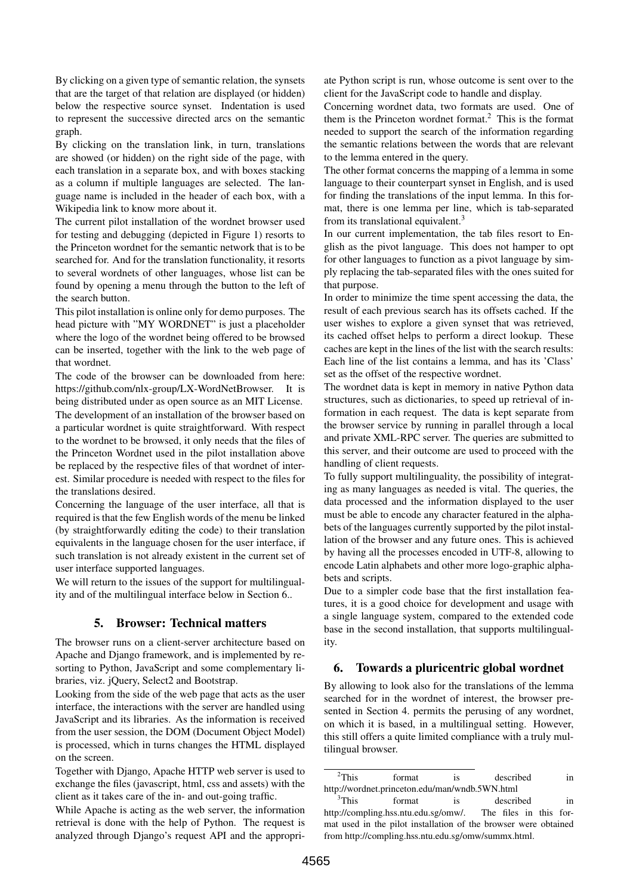By clicking on a given type of semantic relation, the synsets that are the target of that relation are displayed (or hidden) below the respective source synset. Indentation is used to represent the successive directed arcs on the semantic graph.

By clicking on the translation link, in turn, translations are showed (or hidden) on the right side of the page, with each translation in a separate box, and with boxes stacking as a column if multiple languages are selected. The language name is included in the header of each box, with a Wikipedia link to know more about it.

The current pilot installation of the wordnet browser used for testing and debugging (depicted in Figure 1) resorts to the Princeton wordnet for the semantic network that is to be searched for. And for the translation functionality, it resorts to several wordnets of other languages, whose list can be found by opening a menu through the button to the left of the search button.

This pilot installation is online only for demo purposes. The head picture with "MY WORDNET" is just a placeholder where the logo of the wordnet being offered to be browsed can be inserted, together with the link to the web page of that wordnet.

The code of the browser can be downloaded from here: https://github.com/nlx-group/LX-WordNetBrowser. It is being distributed under as open source as an MIT License.

The development of an installation of the browser based on a particular wordnet is quite straightforward. With respect to the wordnet to be browsed, it only needs that the files of the Princeton Wordnet used in the pilot installation above be replaced by the respective files of that wordnet of interest. Similar procedure is needed with respect to the files for the translations desired.

Concerning the language of the user interface, all that is required is that the few English words of the menu be linked (by straightforwardly editing the code) to their translation equivalents in the language chosen for the user interface, if such translation is not already existent in the current set of user interface supported languages.

We will return to the issues of the support for multilinguality and of the multilingual interface below in Section 6..

#### 5. Browser: Technical matters

The browser runs on a client-server architecture based on Apache and Django framework, and is implemented by resorting to Python, JavaScript and some complementary libraries, viz. jQuery, Select2 and Bootstrap.

Looking from the side of the web page that acts as the user interface, the interactions with the server are handled using JavaScript and its libraries. As the information is received from the user session, the DOM (Document Object Model) is processed, which in turns changes the HTML displayed on the screen.

Together with Django, Apache HTTP web server is used to exchange the files (javascript, html, css and assets) with the client as it takes care of the in- and out-going traffic.

While Apache is acting as the web server, the information retrieval is done with the help of Python. The request is analyzed through Django's request API and the appropriate Python script is run, whose outcome is sent over to the client for the JavaScript code to handle and display.

Concerning wordnet data, two formats are used. One of them is the Princeton wordnet format.<sup>2</sup> This is the format needed to support the search of the information regarding the semantic relations between the words that are relevant to the lemma entered in the query.

The other format concerns the mapping of a lemma in some language to their counterpart synset in English, and is used for finding the translations of the input lemma. In this format, there is one lemma per line, which is tab-separated from its translational equivalent.<sup>3</sup>

In our current implementation, the tab files resort to English as the pivot language. This does not hamper to opt for other languages to function as a pivot language by simply replacing the tab-separated files with the ones suited for that purpose.

In order to minimize the time spent accessing the data, the result of each previous search has its offsets cached. If the user wishes to explore a given synset that was retrieved, its cached offset helps to perform a direct lookup. These caches are kept in the lines of the list with the search results: Each line of the list contains a lemma, and has its 'Class' set as the offset of the respective wordnet.

The wordnet data is kept in memory in native Python data structures, such as dictionaries, to speed up retrieval of information in each request. The data is kept separate from the browser service by running in parallel through a local and private XML-RPC server. The queries are submitted to this server, and their outcome are used to proceed with the handling of client requests.

To fully support multilinguality, the possibility of integrating as many languages as needed is vital. The queries, the data processed and the information displayed to the user must be able to encode any character featured in the alphabets of the languages currently supported by the pilot installation of the browser and any future ones. This is achieved by having all the processes encoded in UTF-8, allowing to encode Latin alphabets and other more logo-graphic alphabets and scripts.

Due to a simpler code base that the first installation features, it is a good choice for development and usage with a single language system, compared to the extended code base in the second installation, that supports multilinguality.

#### 6. Towards a pluricentric global wordnet

By allowing to look also for the translations of the lemma searched for in the wordnet of interest, the browser presented in Section 4. permits the perusing of any wordnet, on which it is based, in a multilingual setting. However, this still offers a quite limited compliance with a truly multilingual browser.

 $2$ This format is described in http://wordnet.princeton.edu/man/wndb.5WN.html

<sup>&</sup>lt;sup>3</sup>This format is described in http://compling.hss.ntu.edu.sg/omw/. The files in this format used in the pilot installation of the browser were obtained from http://compling.hss.ntu.edu.sg/omw/summx.html.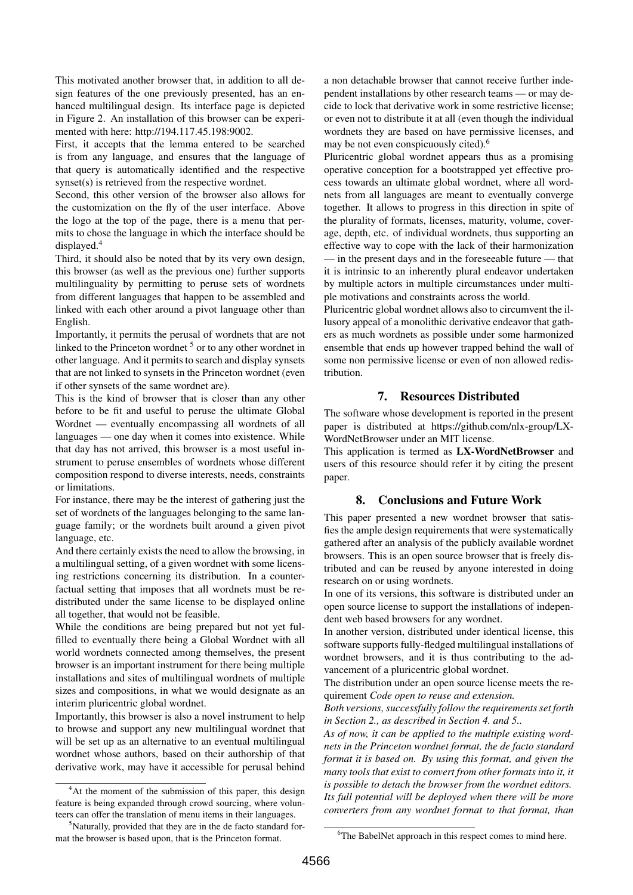This motivated another browser that, in addition to all design features of the one previously presented, has an enhanced multilingual design. Its interface page is depicted in Figure 2. An installation of this browser can be experimented with here: http://194.117.45.198:9002.

First, it accepts that the lemma entered to be searched is from any language, and ensures that the language of that query is automatically identified and the respective synset(s) is retrieved from the respective wordnet.

Second, this other version of the browser also allows for the customization on the fly of the user interface. Above the logo at the top of the page, there is a menu that permits to chose the language in which the interface should be displayed.<sup>4</sup>

Third, it should also be noted that by its very own design, this browser (as well as the previous one) further supports multilinguality by permitting to peruse sets of wordnets from different languages that happen to be assembled and linked with each other around a pivot language other than English.

Importantly, it permits the perusal of wordnets that are not linked to the Princeton wordnet  $5$  or to any other wordnet in other language. And it permits to search and display synsets that are not linked to synsets in the Princeton wordnet (even if other synsets of the same wordnet are).

This is the kind of browser that is closer than any other before to be fit and useful to peruse the ultimate Global Wordnet — eventually encompassing all wordnets of all languages — one day when it comes into existence. While that day has not arrived, this browser is a most useful instrument to peruse ensembles of wordnets whose different composition respond to diverse interests, needs, constraints or limitations.

For instance, there may be the interest of gathering just the set of wordnets of the languages belonging to the same language family; or the wordnets built around a given pivot language, etc.

And there certainly exists the need to allow the browsing, in a multilingual setting, of a given wordnet with some licensing restrictions concerning its distribution. In a counterfactual setting that imposes that all wordnets must be redistributed under the same license to be displayed online all together, that would not be feasible.

While the conditions are being prepared but not yet fulfilled to eventually there being a Global Wordnet with all world wordnets connected among themselves, the present browser is an important instrument for there being multiple installations and sites of multilingual wordnets of multiple sizes and compositions, in what we would designate as an interim pluricentric global wordnet.

Importantly, this browser is also a novel instrument to help to browse and support any new multilingual wordnet that will be set up as an alternative to an eventual multilingual wordnet whose authors, based on their authorship of that derivative work, may have it accessible for perusal behind

<sup>4</sup>At the moment of the submission of this paper, this design feature is being expanded through crowd sourcing, where volunteers can offer the translation of menu items in their languages.

<sup>5</sup>Naturally, provided that they are in the de facto standard format the browser is based upon, that is the Princeton format.

a non detachable browser that cannot receive further independent installations by other research teams — or may decide to lock that derivative work in some restrictive license; or even not to distribute it at all (even though the individual wordnets they are based on have permissive licenses, and may be not even conspicuously cited).<sup>6</sup>

Pluricentric global wordnet appears thus as a promising operative conception for a bootstrapped yet effective process towards an ultimate global wordnet, where all wordnets from all languages are meant to eventually converge together. It allows to progress in this direction in spite of the plurality of formats, licenses, maturity, volume, coverage, depth, etc. of individual wordnets, thus supporting an effective way to cope with the lack of their harmonization — in the present days and in the foreseeable future — that it is intrinsic to an inherently plural endeavor undertaken by multiple actors in multiple circumstances under multiple motivations and constraints across the world.

Pluricentric global wordnet allows also to circumvent the illusory appeal of a monolithic derivative endeavor that gathers as much wordnets as possible under some harmonized ensemble that ends up however trapped behind the wall of some non permissive license or even of non allowed redistribution.

### 7. Resources Distributed

The software whose development is reported in the present paper is distributed at https://github.com/nlx-group/LX-WordNetBrowser under an MIT license.

This application is termed as LX-WordNetBrowser and users of this resource should refer it by citing the present paper.

## 8. Conclusions and Future Work

This paper presented a new wordnet browser that satisfies the ample design requirements that were systematically gathered after an analysis of the publicly available wordnet browsers. This is an open source browser that is freely distributed and can be reused by anyone interested in doing research on or using wordnets.

In one of its versions, this software is distributed under an open source license to support the installations of independent web based browsers for any wordnet.

In another version, distributed under identical license, this software supports fully-fledged multilingual installations of wordnet browsers, and it is thus contributing to the advancement of a pluricentric global wordnet.

The distribution under an open source license meets the requirement *Code open to reuse and extension.*

*Both versions, successfully follow the requirements set forth in Section 2., as described in Section 4. and 5..*

*As of now, it can be applied to the multiple existing wordnets in the Princeton wordnet format, the de facto standard format it is based on. By using this format, and given the many tools that exist to convert from other formats into it, it is possible to detach the browser from the wordnet editors. Its full potential will be deployed when there will be more converters from any wordnet format to that format, than*

<sup>&</sup>lt;sup>6</sup>The BabelNet approach in this respect comes to mind here.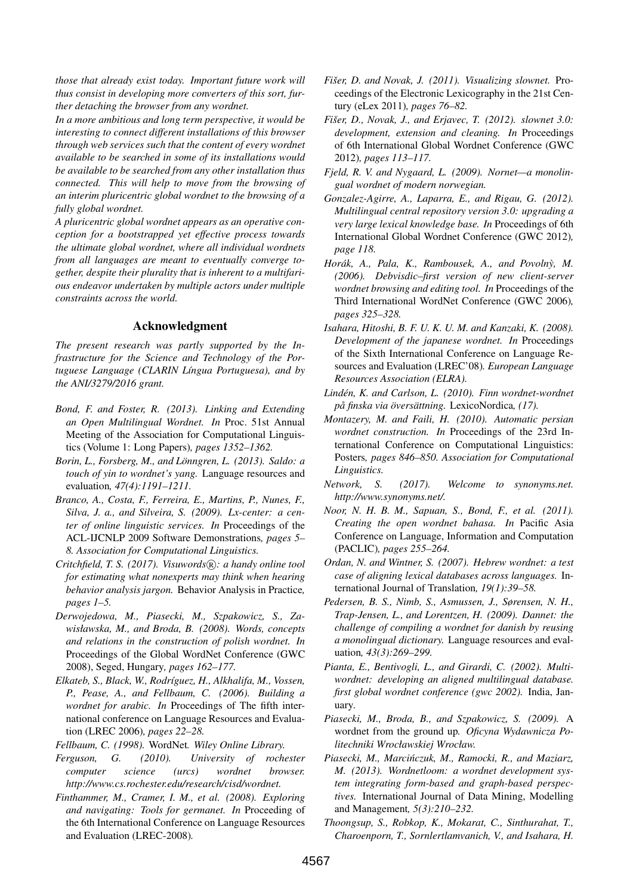*those that already exist today. Important future work will thus consist in developing more converters of this sort, further detaching the browser from any wordnet.*

*In a more ambitious and long term perspective, it would be interesting to connect different installations of this browser through web services such that the content of every wordnet available to be searched in some of its installations would be available to be searched from any other installation thus connected. This will help to move from the browsing of an interim pluricentric global wordnet to the browsing of a fully global wordnet.*

*A pluricentric global wordnet appears as an operative conception for a bootstrapped yet effective process towards the ultimate global wordnet, where all individual wordnets from all languages are meant to eventually converge together, despite their plurality that is inherent to a multifarious endeavor undertaken by multiple actors under multiple constraints across the world.*

#### Acknowledgment

*The present research was partly supported by the Infrastructure for the Science and Technology of the Portuguese Language (CLARIN L´ıngua Portuguesa), and by the ANI/3279/2016 grant.*

- *Bond, F. and Foster, R. (2013). Linking and Extending an Open Multilingual Wordnet. In* Proc. 51st Annual Meeting of the Association for Computational Linguistics (Volume 1: Long Papers)*, pages 1352–1362.*
- *Borin, L., Forsberg, M., and Lönngren, L. (2013). Saldo: a touch of yin to wordnet's yang.* Language resources and evaluation*, 47(4):1191–1211.*
- *Branco, A., Costa, F., Ferreira, E., Martins, P., Nunes, F., Silva, J. a., and Silveira, S. (2009). Lx-center: a center of online linguistic services. In* Proceedings of the ACL-IJCNLP 2009 Software Demonstrations*, pages 5– 8. Association for Computational Linguistics.*
- *Critchfield, T. S. (2017). Visuwords* $(R)$ *: a handy online tool for estimating what nonexperts may think when hearing behavior analysis jargon.* Behavior Analysis in Practice*, pages 1–5.*
- *Derwojedowa, M., Piasecki, M., Szpakowicz, S., Zawisławska, M., and Broda, B. (2008). Words, concepts and relations in the construction of polish wordnet. In* Proceedings of the Global WordNet Conference (GWC 2008), Seged, Hungary*, pages 162–177.*
- *Elkateb, S., Black, W., Rodr´ıguez, H., Alkhalifa, M., Vossen, P., Pease, A., and Fellbaum, C. (2006). Building a wordnet for arabic. In* Proceedings of The fifth international conference on Language Resources and Evaluation (LREC 2006)*, pages 22–28.*
- *Fellbaum, C. (1998).* WordNet*. Wiley Online Library.*
- *Ferguson, G. (2010). University of rochester computer science (urcs) wordnet browser. http://www.cs.rochester.edu/research/cisd/wordnet.*
- *Finthammer, M., Cramer, I. M., et al. (2008). Exploring and navigating: Tools for germanet. In* Proceeding of the 6th International Conference on Language Resources and Evaluation (LREC-2008)*.*
- *Fišer, D. and Novak, J. (2011). Visualizing slownet.* Proceedings of the Electronic Lexicography in the 21st Century (eLex 2011)*, pages 76–82.*
- *Fišer, D., Novak, J., and Erjavec, T. (2012). slownet 3.0: development, extension and cleaning. In* Proceedings of 6th International Global Wordnet Conference (GWC 2012)*, pages 113–117.*
- *Fjeld, R. V. and Nygaard, L. (2009). Nornet—a monolingual wordnet of modern norwegian.*
- *Gonzalez-Agirre, A., Laparra, E., and Rigau, G. (2012). Multilingual central repository version 3.0: upgrading a very large lexical knowledge base. In* Proceedings of 6th International Global Wordnet Conference (GWC 2012)*, page 118.*
- *Horák, A., Pala, K., Rambousek, A., and Povolny, M. (2006). Debvisdic–first version of new client-server wordnet browsing and editing tool. In* Proceedings of the Third International WordNet Conference (GWC 2006)*, pages 325–328.*
- *Isahara, Hitoshi, B. F. U. K. U. M. and Kanzaki, K. (2008). Development of the japanese wordnet. In* Proceedings of the Sixth International Conference on Language Resources and Evaluation (LREC'08)*. European Language Resources Association (ELRA).*
- *Linden, K. and Carlson, L. (2010). Finn wordnet-wordnet ´ pa finska via ˚ overs ¨ attning. ¨* LexicoNordica*, (17).*
- *Montazery, M. and Faili, H. (2010). Automatic persian wordnet construction. In* Proceedings of the 23rd International Conference on Computational Linguistics: Posters*, pages 846–850. Association for Computational Linguistics.*
- *Network, S. (2017). Welcome to synonyms.net. http://www.synonyms.net/.*
- *Noor, N. H. B. M., Sapuan, S., Bond, F., et al. (2011). Creating the open wordnet bahasa. In* Pacific Asia Conference on Language, Information and Computation (PACLIC)*, pages 255–264.*
- *Ordan, N. and Wintner, S. (2007). Hebrew wordnet: a test case of aligning lexical databases across languages.* International Journal of Translation*, 19(1):39–58.*
- *Pedersen, B. S., Nimb, S., Asmussen, J., Sørensen, N. H., Trap-Jensen, L., and Lorentzen, H. (2009). Dannet: the challenge of compiling a wordnet for danish by reusing a monolingual dictionary.* Language resources and evaluation*, 43(3):269–299.*
- *Pianta, E., Bentivogli, L., and Girardi, C. (2002). Multiwordnet: developing an aligned multilingual database. first global wordnet conference (gwc 2002).* India, January*.*
- *Piasecki, M., Broda, B., and Szpakowicz, S. (2009).* A wordnet from the ground up*. Oficyna Wydawnicza Politechniki Wrocławskiej Wrocław.*
- *Piasecki, M., Marcinczuk, M., Ramocki, R., and Maziarz, ´ M. (2013). Wordnetloom: a wordnet development system integrating form-based and graph-based perspectives.* International Journal of Data Mining, Modelling and Management*, 5(3):210–232.*
- *Thoongsup, S., Robkop, K., Mokarat, C., Sinthurahat, T., Charoenporn, T., Sornlertlamvanich, V., and Isahara, H.*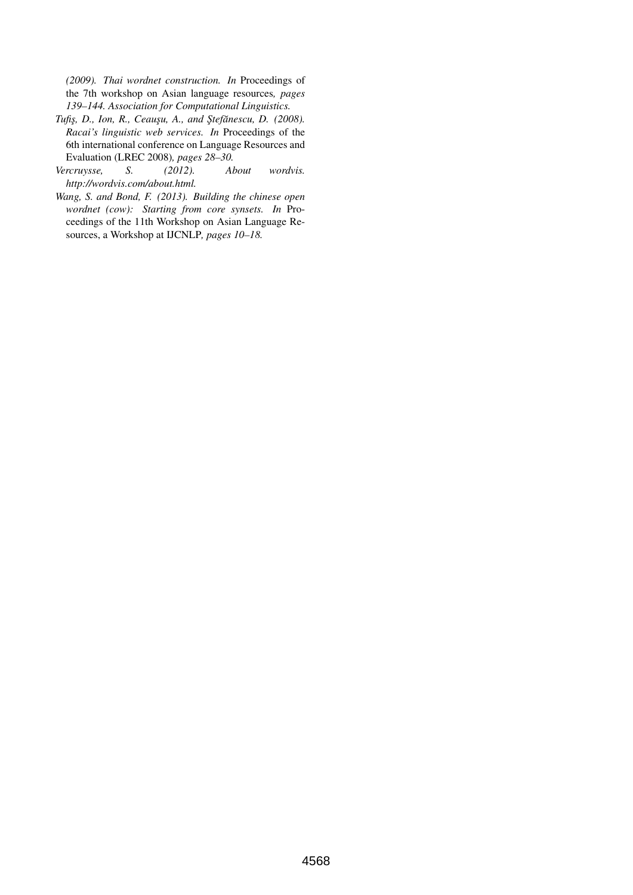*(2009). Thai wordnet construction. In* Proceedings of the 7th workshop on Asian language resources*, pages 139–144. Association for Computational Linguistics.*

- *Tufis¸, D., Ion, R., Ceaus¸u, A., and S¸tefanescu, D. (2008). ˘ Racai's linguistic web services. In* Proceedings of the 6th international conference on Language Resources and Evaluation (LREC 2008)*, pages 28–30.*
- *Vercruysse, S. (2012). About wordvis. http://wordvis.com/about.html.*
- *Wang, S. and Bond, F. (2013). Building the chinese open wordnet (cow): Starting from core synsets. In* Proceedings of the 11th Workshop on Asian Language Resources, a Workshop at IJCNLP*, pages 10–18.*